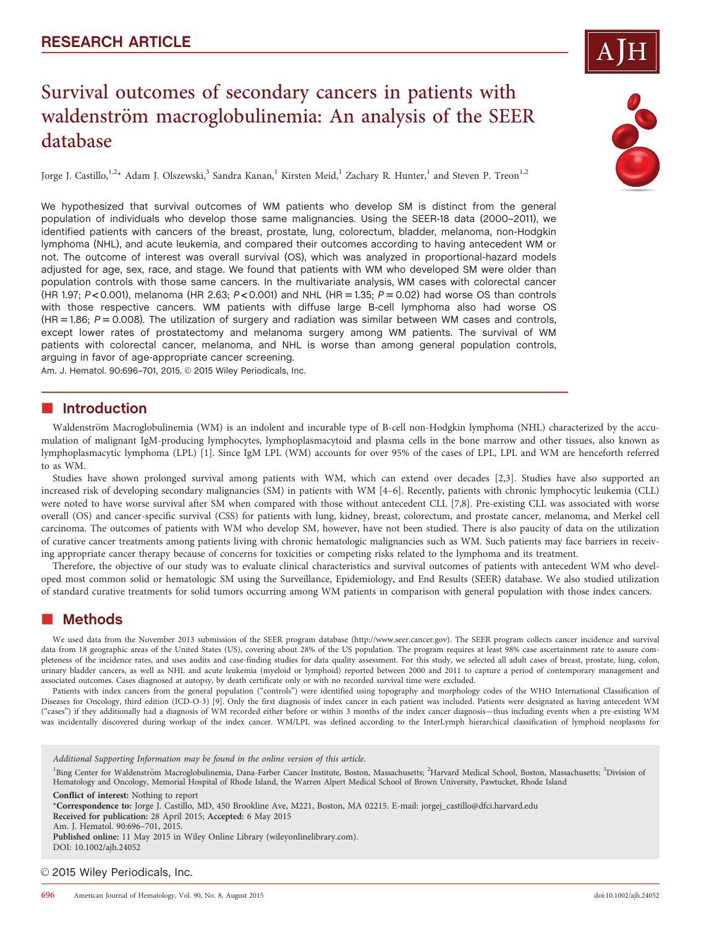# Survival outcomes of secondary cancers in patients with waldenström macroglobulinemia: An analysis of the SEER database

Jorge J. Castillo,<sup>1,2\*</sup> Adam J. Olszewski,<sup>3</sup> Sandra Kanan,<sup>1</sup> Kirsten Meid,<sup>1</sup> Zachary R. Hunter,<sup>1</sup> and Steven P. Treon<sup>1,2</sup>

We hypothesized that survival outcomes of WM patients who develop SM is distinct from the general population of individuals who develop those same malignancies. Using the SEER-18 data (2000–2011), we identified patients with cancers of the breast, prostate, lung, colorectum, bladder, melanoma, non-Hodgkin lymphoma (NHL), and acute leukemia, and compared their outcomes according to having antecedent WM or not. The outcome of interest was overall survival (OS), which was analyzed in proportional-hazard models adjusted for age, sex, race, and stage. We found that patients with WM who developed SM were older than population controls with those same cancers. In the multivariate analysis, WM cases with colorectal cancer (HR 1.97;  $P < 0.001$ ), melanoma (HR 2.63;  $P < 0.001$ ) and NHL (HR = 1.35;  $P = 0.02$ ) had worse OS than controls with those respective cancers. WM patients with diffuse large B-cell lymphoma also had worse OS  $(HR = 1.86; P = 0.008)$ . The utilization of surgery and radiation was similar between WM cases and controls, except lower rates of prostatectomy and melanoma surgery among WM patients. The survival of WM patients with colorectal cancer, melanoma, and NHL is worse than among general population controls, arguing in favor of age-appropriate cancer screening.

Am. J. Hematol. 90:696-701, 2015. @ 2015 Wiley Periodicals, Inc.

## **n** Introduction

Waldenström Macroglobulinemia (WM) is an indolent and incurable type of B-cell non-Hodgkin lymphoma (NHL) characterized by the accumulation of malignant IgM-producing lymphocytes, lymphoplasmacytoid and plasma cells in the bone marrow and other tissues, also known as lymphoplasmacytic lymphoma (LPL) [1]. Since IgM LPL (WM) accounts for over 95% of the cases of LPL, LPL and WM are henceforth referred to as WM.

Studies have shown prolonged survival among patients with WM, which can extend over decades [2,3]. Studies have also supported an increased risk of developing secondary malignancies (SM) in patients with WM [4–6]. Recently, patients with chronic lymphocytic leukemia (CLL) were noted to have worse survival after SM when compared with those without antecedent CLL [7,8]. Pre-existing CLL was associated with worse overall (OS) and cancer-specific survival (CSS) for patients with lung, kidney, breast, colorectum, and prostate cancer, melanoma, and Merkel cell carcinoma. The outcomes of patients with WM who develop SM, however, have not been studied. There is also paucity of data on the utilization of curative cancer treatments among patients living with chronic hematologic malignancies such as WM. Such patients may face barriers in receiving appropriate cancer therapy because of concerns for toxicities or competing risks related to the lymphoma and its treatment.

Therefore, the objective of our study was to evaluate clinical characteristics and survival outcomes of patients with antecedent WM who developed most common solid or hematologic SM using the Surveillance, Epidemiology, and End Results (SEER) database. We also studied utilization of standard curative treatments for solid tumors occurring among WM patients in comparison with general population with those index cancers.

#### -Methods

We used data from the November 2013 submission of the SEER program database [\(http://www.seer.cancer.gov](http://www.seer.cancer.gov)). The SEER program collects cancer incidence and survival data from 18 geographic areas of the United States (US), covering about 28% of the US population. The program requires at least 98% case ascertainment rate to assure completeness of the incidence rates, and uses audits and case-finding studies for data quality assessment. For this study, we selected all adult cases of breast, prostate, lung, colon, urinary bladder cancers, as well as NHL and acute leukemia (myeloid or lymphoid) reported between 2000 and 2011 to capture a period of contemporary management and associated outcomes. Cases diagnosed at autopsy, by death certificate only or with no recorded survival time were excluded.

Patients with index cancers from the general population ("controls") were identified using topography and morphology codes of the WHO International Classification of Diseases for Oncology, third edition (ICD-O-3) [9]. Only the first diagnosis of index cancer in each patient was included. Patients were designated as having antecedent WM ("cases") if they additionally had a diagnosis of WM recorded either before or within 3 months of the index cancer diagnosis—thus including events when a pre-existing WM was incidentally discovered during workup of the index cancer. WM/LPL was defined according to the InterLymph hierarchical classification of lymphoid neoplasms for

Additional Supporting Information may be found in the online version of this article.

<sup>1</sup>Bing Center for Waldenström Macroglobulinemia, Dana-Farber Cancer Institute, Boston, Massachusetts; <sup>2</sup>Harvard Medical School, Boston, Massachusetts; <sup>3</sup>Division of Hematology and Oncology, Memorial Hospital of Rhode Island, the Warren Alpert Medical School of Brown University, Pawtucket, Rhode Island

Conflict of interest: Nothing to report

\*Correspondence to: Jorge J. Castillo, MD, 450 Brookline Ave, M221, Boston, MA 02215. E-mail: jorgej\_castillo@dfci.harvard.edu Received for publication: 28 April 2015; Accepted: 6 May 2015

Am. J. Hematol. 90:696–701, 2015.

Published online: 11 May 2015 in Wiley Online Library (wileyonlinelibrary.com). DOI: 10.1002/ajh.24052

© 2015 Wiley Periodicals, Inc.



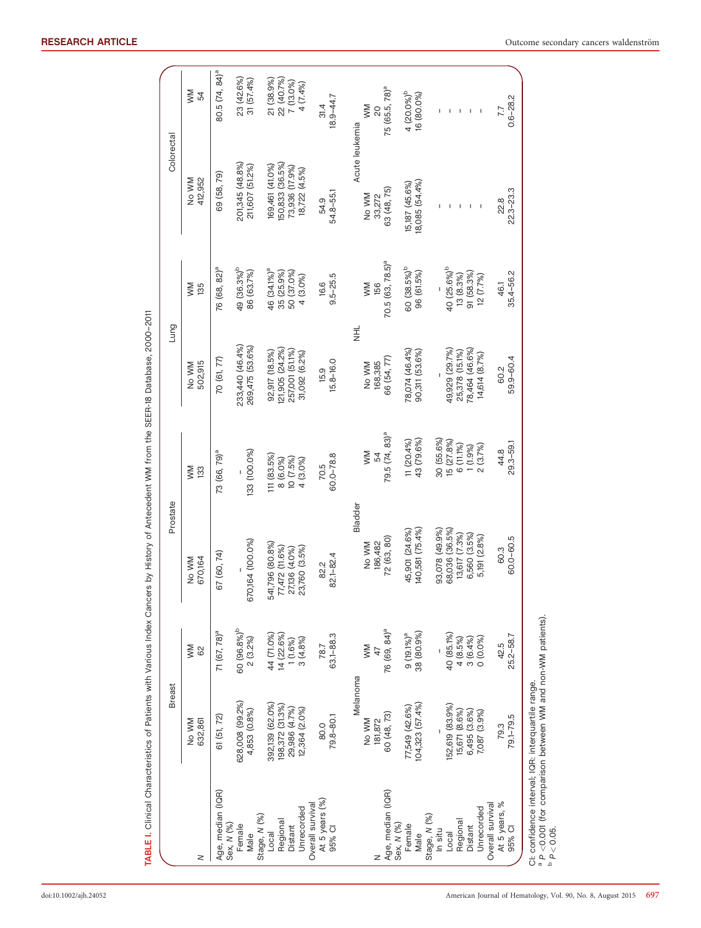|                                                                                                                                  | <b>Breast</b>                                                        |                                                | Prostate                                                                          |                                                             | Lung                                                                  |                                                                | Colorectal                                                           |                                                   |
|----------------------------------------------------------------------------------------------------------------------------------|----------------------------------------------------------------------|------------------------------------------------|-----------------------------------------------------------------------------------|-------------------------------------------------------------|-----------------------------------------------------------------------|----------------------------------------------------------------|----------------------------------------------------------------------|---------------------------------------------------|
| z                                                                                                                                | No WM<br>632,861                                                     | MM<br>62                                       | 670,164<br>No WM                                                                  | MW<br>133                                                   | 502,915<br>No WM                                                      | MM<br>135                                                      | 412,952<br>NN WM                                                     | MM<br>54                                          |
| Age, median (IQR)                                                                                                                | 61 (51, 72)                                                          | 71 (67, 78) <sup>a</sup>                       | (60, 74)<br>67                                                                    | 73 (66, 79) <sup>a</sup>                                    | 70 (61, 77)                                                           | 76 (68, 82) <sup>a</sup>                                       | 69 (58, 79)                                                          | 80.5 (74, 84) <sup>a</sup>                        |
| Sex, N (%)<br>Female<br>Male                                                                                                     | 628,008 (99.2%)<br>4,853 (0.8%)                                      | 60 (96.8%) <sup>b</sup><br>$2(3.2\%)$          | 670,164 (100.0%)                                                                  | 133 (100.0%)                                                | 233,440 (46.4%)<br>269,475 (53.6%)                                    | 49 (36.3%) <sup>b</sup><br>86 (63.7%)                          | 201,345 (48.8%)<br>211,607 (51.2%)                                   | 23 (42.6%)<br>31(57.4%)                           |
| Unrecorded<br>Stage, N (%)<br>Regional<br>Distant<br>Local                                                                       | 392,139 (62.0%)<br>198,372 (31.3%)<br>29,986 (4.7%)<br>12,364 (2.0%) | 44 (71.0%)<br>14 (22.6%)<br>3(4.8%)<br>1(1.6%) | 541,796 (80.8%)<br>77,472 (11.6%)<br>23,760 (3.5%)<br>27,136 (4.0%)               | 111 (83.5%)<br>10 (7.5%)<br>8 (6.0%)<br>4 (3.0%)            | (21,905 (24.2%)<br>257,001 (51.1%)<br>92,917 (18.5%)<br>31,092 (6.2%) | 46 (34.1%) <sup>a</sup><br>50 (37.0%)<br>35 (25.9%)<br>4(3.0%) | 150,833 (36.5%)<br>69,461 (41.0%)<br>73,936 (17.9%)<br>18,722 (4.5%) | 21 (38.9%)<br>22 (40.7%)<br>7 (13.0%)<br>4 (7.4%) |
| At 5 years (%)<br>Overall survival<br>95% CI                                                                                     | 79.8-80.1<br>80.0                                                    | 63.1-88.3<br>78.7                              | 82.1-82.4<br>82.2                                                                 | $60.0 - 78.8$<br>70.5                                       | 15.8-16.0<br>15.9                                                     | $9.5 - 25.5$<br>16.6                                           | 54.8-55.1<br>54.9                                                    | $18.9 - 44.7$<br>31.4                             |
| Age, median (IQR)<br>z                                                                                                           | Melanoma<br>60 (48, 73)<br>No WM<br>181,872                          | 76 (69, 84) <sup>a</sup><br>WM                 | Bladder<br>72 (63, 80)<br>186,482<br>No WM                                        | $79.5(74, 83)^a$<br>WM<br>54                                | ゴ<br>ラ<br>66 (54, 77)<br>168,385<br>No WM                             | 70.5 (63, 78.5) <sup>a</sup><br><b>NM</b><br>156               | Acute leukemia<br>63 (48, 75)<br>No WM<br>33,272                     | 75 (65.5, 78) <sup>a</sup><br>MW<br>20            |
| Sex, N (%)<br>Female<br>Male                                                                                                     | 104,323 (57.4%)<br>77,549 (42.6%)                                    | 38 (80.9%)<br>$9(19.1\%)$ <sup>a</sup>         | 140,581 (75.4%)<br>45,901 (24.6%)                                                 | $11(20.4\%)$<br>43 (79.6%)                                  | 78,074 (46.4%)<br>90,311 (53.6%)                                      | 60 (38.5%) <sup>b</sup><br>96 (61.5%)                          | 18,085 (54.4%)<br>15,187 (45.6%)                                     | 4 $(20.0\%)^b$<br>16 (80.0%)                      |
| Unrecorded<br>Stage, N (%)<br>Regional<br>Distant<br>In situ<br>Local                                                            | 152,619 (83.9%)<br>15,671 (8.6%)<br>6,495 (3.6%)<br>7,087 (3.9%)     | 40 (85.1%)<br>0(0.0%<br>4(8.5%)<br>3(6.4%)     | 68,036 (36.5%)<br>93,078 (49.9%)<br>13,617 (7.3%)<br>6,560 (3.5%)<br>5,191 (2.8%) | 30 (55.6%)<br>15 (27.8%)<br>6 (11.1%)<br>2(3.7%)<br>1(1.9%) | 78,464 (46.6%)<br>49,929 (29.7%)<br>25,378 (15.1%)<br>14,614 (8.7%)   | 40 (25.6%) <sup>b</sup><br>91 (58.3%)<br>13(8.3%)<br>12(7.7%)  |                                                                      | $\mathsf I$<br>$\mathsf I$<br>$\mathbf I$<br>I.   |
| At 5 years, %<br>Overall survival<br>95% CI                                                                                      | 79.1-79.5<br>79.3                                                    | 25.2-58.7<br>42.5                              | 60.0-60.5<br>60.3                                                                 | 29.3-59.1<br>44.8                                           | 59.9-60.4<br>60.2                                                     | 35.4-56.2<br>46.1                                              | $22.3 - 23.3$<br>22.8                                                | $0.6 - 28.2$<br>7.7                               |
| ª P <0.001 (for comparison between WM and non-WM patients).<br>▷ P < 0.05.<br>CI: confidence interval; IQR: interquartile range. |                                                                      |                                                |                                                                                   |                                                             |                                                                       |                                                                |                                                                      |                                                   |

TABLE I. Clinical Characteristics of Patients with Various Index Cancers by History of Antecedent WM from the SEER-18 Database, 2000–2011

TABLE I. Clinical Characteristics of Patients with Various Index Cancers by History of Antecedent WM from the SEER-18 Database, 2000-2011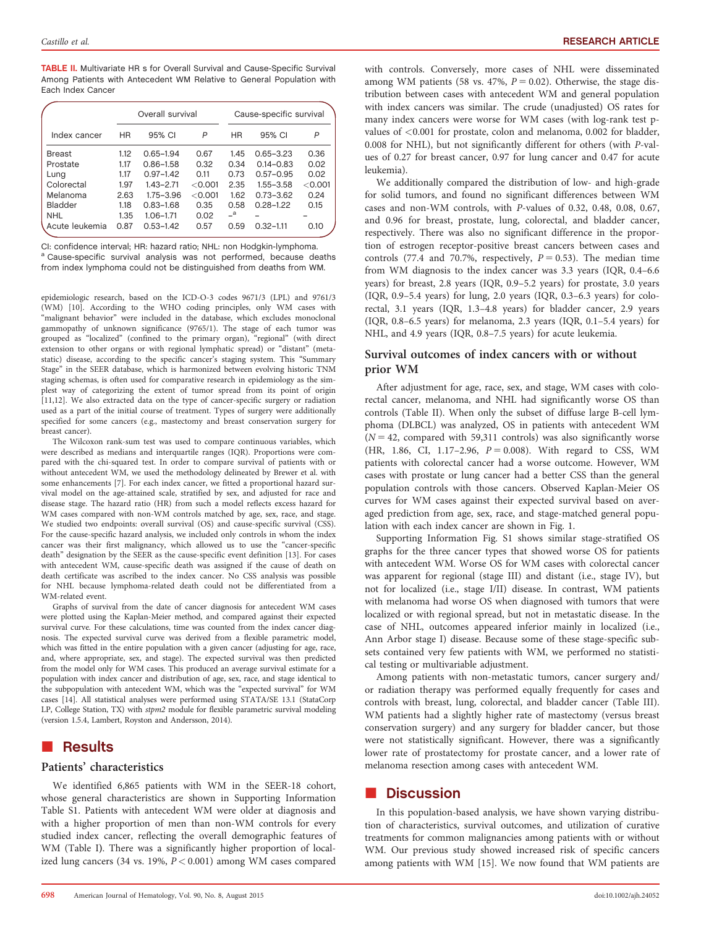TABLE II. Multivariate HR s for Overall Survival and Cause-Specific Survival Among Patients with Antecedent WM Relative to General Population with Each Index Cancer

|                |      | Overall survival |         | Cause-specific survival   |               |         |  |
|----------------|------|------------------|---------|---------------------------|---------------|---------|--|
| Index cancer   | ΗR   | 95% CI           | P       | <b>HR</b>                 | 95% CI        | P       |  |
| <b>Breast</b>  | 1.12 | $0.65 - 1.94$    | 0.67    | 1.45                      | $0.65 - 3.23$ | 0.36    |  |
| Prostate       | 1.17 | $0.86 - 1.58$    | 0.32    | 0.34                      | $0.14 - 0.83$ | 0.02    |  |
| Lung           | 1.17 | $0.97 - 1.42$    | 0.11    | 0.73                      | $0.57 - 0.95$ | 0.02    |  |
| Colorectal     | 1.97 | $1.43 - 2.71$    | < 0.001 | 2.35                      | $1.55 - 3.58$ | < 0.001 |  |
| Melanoma       | 2.63 | $1.75 - 3.96$    | < 0.001 | 1.62                      | $0.73 - 3.62$ | 0.24    |  |
| Bladder        | 1.18 | $0.83 - 1.68$    | 0.35    | 0.58                      | $0.28 - 1.22$ | 0.15    |  |
| <b>NHL</b>     | 1.35 | $1.06 - 1.71$    | 0.02    | $\mathsf{=}^{\mathsf{a}}$ |               |         |  |
| Acute leukemia | 0.87 | $0.53 - 1.42$    | 0.57    | 0.59                      | $0.32 - 1.11$ | 0.10    |  |

CI: confidence interval; HR: hazard ratio; NHL: non Hodgkin-lymphoma. <sup>a</sup> Cause-specific survival analysis was not performed, because deaths from index lymphoma could not be distinguished from deaths from WM.

epidemiologic research, based on the ICD-O-3 codes 9671/3 (LPL) and 9761/3 (WM) [10]. According to the WHO coding principles, only WM cases with "malignant behavior" were included in the database, which excludes monoclonal gammopathy of unknown significance (9765/1). The stage of each tumor was grouped as "localized" (confined to the primary organ), "regional" (with direct extension to other organs or with regional lymphatic spread) or "distant" (metastatic) disease, according to the specific cancer's staging system. This "Summary Stage" in the SEER database, which is harmonized between evolving historic TNM staging schemas, is often used for comparative research in epidemiology as the simplest way of categorizing the extent of tumor spread from its point of origin [11,12]. We also extracted data on the type of cancer-specific surgery or radiation used as a part of the initial course of treatment. Types of surgery were additionally specified for some cancers (e.g., mastectomy and breast conservation surgery for breast cancer).

The Wilcoxon rank-sum test was used to compare continuous variables, which were described as medians and interquartile ranges (IQR). Proportions were compared with the chi-squared test. In order to compare survival of patients with or without antecedent WM, we used the methodology delineated by Brewer et al. with some enhancements [7]. For each index cancer, we fitted a proportional hazard survival model on the age-attained scale, stratified by sex, and adjusted for race and disease stage. The hazard ratio (HR) from such a model reflects excess hazard for WM cases compared with non-WM controls matched by age, sex, race, and stage. We studied two endpoints: overall survival (OS) and cause-specific survival (CSS). For the cause-specific hazard analysis, we included only controls in whom the index cancer was their first malignancy, which allowed us to use the "cancer-specific death" designation by the SEER as the cause-specific event definition [13]. For cases with antecedent WM, cause-specific death was assigned if the cause of death on death certificate was ascribed to the index cancer. No CSS analysis was possible for NHL because lymphoma-related death could not be differentiated from a WM-related event.

Graphs of survival from the date of cancer diagnosis for antecedent WM cases were plotted using the Kaplan-Meier method, and compared against their expected survival curve. For these calculations, time was counted from the index cancer diagnosis. The expected survival curve was derived from a flexible parametric model, which was fitted in the entire population with a given cancer (adjusting for age, race, and, where appropriate, sex, and stage). The expected survival was then predicted from the model only for WM cases. This produced an average survival estimate for a population with index cancer and distribution of age, sex, race, and stage identical to the subpopulation with antecedent WM, which was the "expected survival" for WM cases [14]. All statistical analyses were performed using STATA/SE 13.1 (StataCorp LP, College Station, TX) with stpm2 module for flexible parametric survival modeling (version 1.5.4, Lambert, Royston and Andersson, 2014).

## **Results**

#### Patients' characteristics

We identified 6,865 patients with WM in the SEER-18 cohort, whose general characteristics are shown in Supporting Information Table S1. Patients with antecedent WM were older at diagnosis and with a higher proportion of men than non-WM controls for every studied index cancer, reflecting the overall demographic features of WM (Table I). There was a significantly higher proportion of localized lung cancers (34 vs. 19%,  $P < 0.001$ ) among WM cases compared with controls. Conversely, more cases of NHL were disseminated among WM patients (58 vs. 47%,  $P = 0.02$ ). Otherwise, the stage distribution between cases with antecedent WM and general population with index cancers was similar. The crude (unadjusted) OS rates for many index cancers were worse for WM cases (with log-rank test pvalues of <0.001 for prostate, colon and melanoma, 0.002 for bladder, 0.008 for NHL), but not significantly different for others (with P-values of 0.27 for breast cancer, 0.97 for lung cancer and 0.47 for acute leukemia).

We additionally compared the distribution of low- and high-grade for solid tumors, and found no significant differences between WM cases and non-WM controls, with P-values of 0.32, 0.48, 0.08, 0.67, and 0.96 for breast, prostate, lung, colorectal, and bladder cancer, respectively. There was also no significant difference in the proportion of estrogen receptor-positive breast cancers between cases and controls (77.4 and 70.7%, respectively,  $P = 0.53$ ). The median time from WM diagnosis to the index cancer was 3.3 years (IQR, 0.4–6.6 years) for breast, 2.8 years (IQR, 0.9–5.2 years) for prostate, 3.0 years (IQR, 0.9–5.4 years) for lung, 2.0 years (IQR, 0.3–6.3 years) for colorectal, 3.1 years (IQR, 1.3–4.8 years) for bladder cancer, 2.9 years (IQR, 0.8–6.5 years) for melanoma, 2.3 years (IQR, 0.1–5.4 years) for NHL, and 4.9 years (IQR, 0.8–7.5 years) for acute leukemia.

### Survival outcomes of index cancers with or without prior WM

After adjustment for age, race, sex, and stage, WM cases with colorectal cancer, melanoma, and NHL had significantly worse OS than controls (Table II). When only the subset of diffuse large B-cell lymphoma (DLBCL) was analyzed, OS in patients with antecedent WM  $(N = 42$ , compared with 59,311 controls) was also significantly worse (HR, 1.86, CI, 1.17-2.96,  $P = 0.008$ ). With regard to CSS, WM patients with colorectal cancer had a worse outcome. However, WM cases with prostate or lung cancer had a better CSS than the general population controls with those cancers. Observed Kaplan-Meier OS curves for WM cases against their expected survival based on averaged prediction from age, sex, race, and stage-matched general population with each index cancer are shown in Fig. 1.

Supporting Information Fig. S1 shows similar stage-stratified OS graphs for the three cancer types that showed worse OS for patients with antecedent WM. Worse OS for WM cases with colorectal cancer was apparent for regional (stage III) and distant (i.e., stage IV), but not for localized (i.e., stage I/II) disease. In contrast, WM patients with melanoma had worse OS when diagnosed with tumors that were localized or with regional spread, but not in metastatic disease. In the case of NHL, outcomes appeared inferior mainly in localized (i.e., Ann Arbor stage I) disease. Because some of these stage-specific subsets contained very few patients with WM, we performed no statistical testing or multivariable adjustment.

Among patients with non-metastatic tumors, cancer surgery and/ or radiation therapy was performed equally frequently for cases and controls with breast, lung, colorectal, and bladder cancer (Table III). WM patients had a slightly higher rate of mastectomy (versus breast conservation surgery) and any surgery for bladder cancer, but those were not statistically significant. However, there was a significantly lower rate of prostatectomy for prostate cancer, and a lower rate of melanoma resection among cases with antecedent WM.

## **Discussion**

In this population-based analysis, we have shown varying distribution of characteristics, survival outcomes, and utilization of curative treatments for common malignancies among patients with or without WM. Our previous study showed increased risk of specific cancers among patients with WM [15]. We now found that WM patients are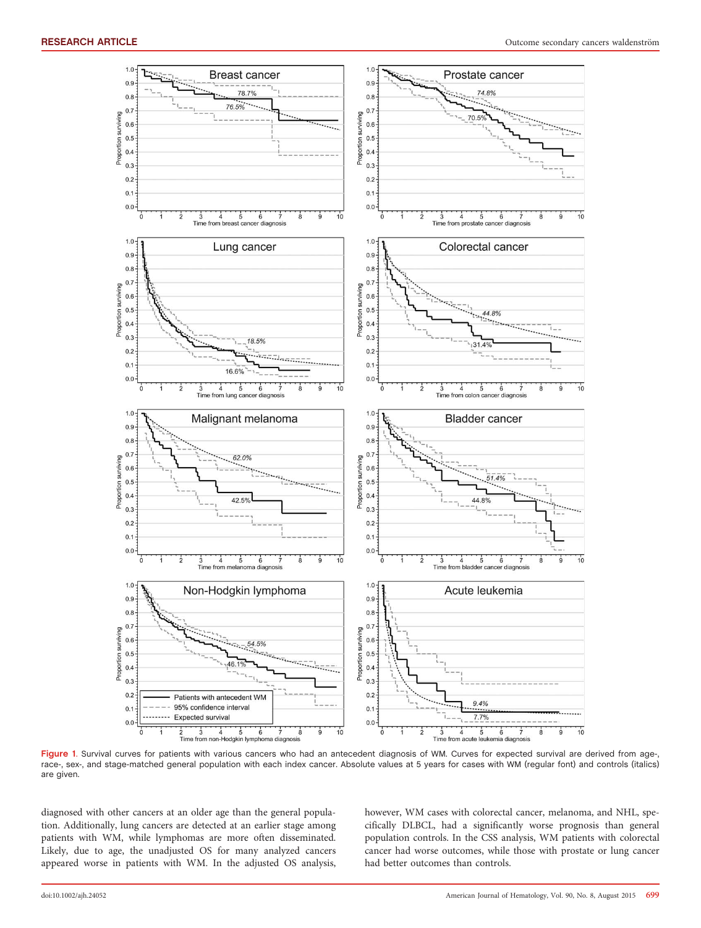

Figure 1. Survival curves for patients with various cancers who had an antecedent diagnosis of WM. Curves for expected survival are derived from age-, race-, sex-, and stage-matched general population with each index cancer. Absolute values at 5 years for cases with WM (regular font) and controls (italics) are given.

diagnosed with other cancers at an older age than the general population. Additionally, lung cancers are detected at an earlier stage among patients with WM, while lymphomas are more often disseminated. Likely, due to age, the unadjusted OS for many analyzed cancers appeared worse in patients with WM. In the adjusted OS analysis, however, WM cases with colorectal cancer, melanoma, and NHL, specifically DLBCL, had a significantly worse prognosis than general population controls. In the CSS analysis, WM patients with colorectal cancer had worse outcomes, while those with prostate or lung cancer had better outcomes than controls.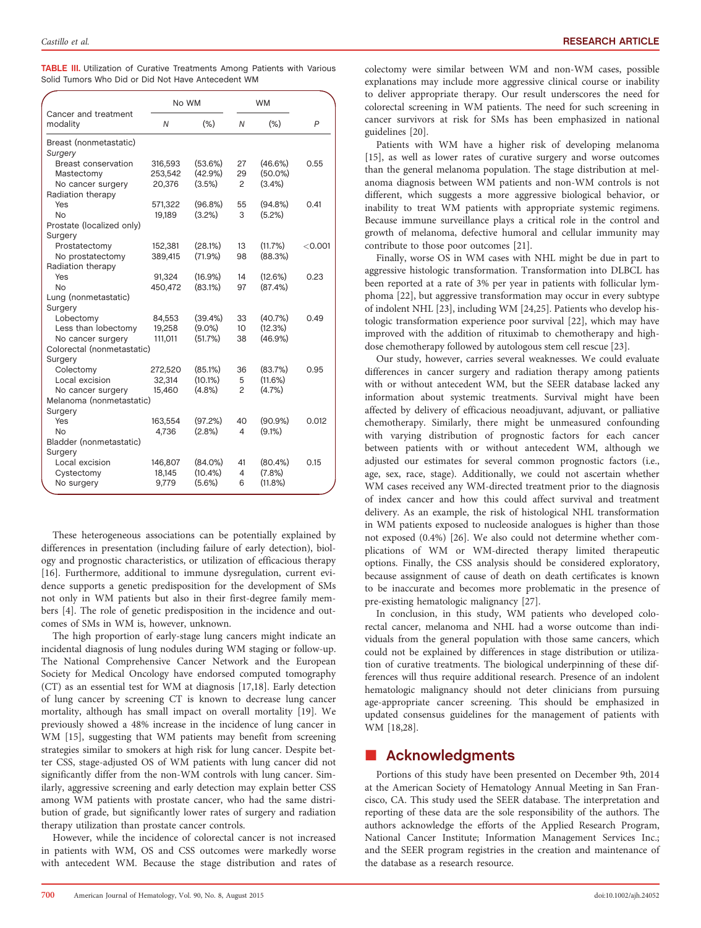|  |  |  |  |                                                    |  | <b>TABLE III.</b> Utilization of Curative Treatments Among Patients with Various |  |
|--|--|--|--|----------------------------------------------------|--|----------------------------------------------------------------------------------|--|
|  |  |  |  | Solid Tumors Who Did or Did Not Have Antecedent WM |  |                                                                                  |  |

|                                               | No WM             |            |                  |            |           |
|-----------------------------------------------|-------------------|------------|------------------|------------|-----------|
| Cancer and treatment<br>modality              | Ν                 | $(\%)$     | $\overline{N}$   | (% )       | P         |
| Breast (nonmetastatic)                        |                   |            |                  |            |           |
| Surgery                                       |                   |            |                  |            |           |
| Breast conservation                           | 316,593           | (53.6%)    | 27               | (46.6%)    | 0.55      |
| Mastectomy                                    | 253,542           | (42.9%)    | 29               | $(50.0\%)$ |           |
| No cancer surgery                             | 20,376            | (3.5%)     | 2                | (3.4% )    |           |
| Radiation therapy                             |                   |            |                  |            |           |
| Yes                                           | 571,322           | (96.8%)    | 55               | $(94.8\%)$ | 0.41      |
| N <sub>0</sub>                                | 19,189            | $(3.2\%)$  | 3                | (5.2%)     |           |
| Prostate (localized only)                     |                   |            |                  |            |           |
| Surgery                                       |                   |            |                  |            |           |
| Prostatectomy                                 | 152,381           | (28.1%)    | 13               | (11.7%)    | $<$ 0.001 |
| No prostatectomy                              | 389.415           | (71.9%)    | 98               | (88.3%)    |           |
| Radiation therapy                             |                   |            |                  |            |           |
| Yes                                           | 91,324            | (16.9%)    | 14               | (12.6%)    | 0.23      |
| N <sub>0</sub>                                | 450,472           | (83.1%)    | 97               | (87.4%)    |           |
| Lung (nonmetastatic)                          |                   |            |                  |            |           |
| Surgery                                       |                   |            |                  |            |           |
| Lobectomy                                     | 84,553            | (39.4%)    | 33               | (40.7%)    | 0.49      |
| Less than lobectomy                           | 19,258            | $(9.0\%)$  | 10 <sup>10</sup> | (12.3%)    |           |
| No cancer surgery                             | 111,011           | (51.7%)    | 38               | $(46.9\%)$ |           |
| Colorectal (nonmetastatic)                    |                   |            |                  |            |           |
| Surgery                                       |                   | (85.1%)    |                  | (83.7%)    | 0.95      |
| Colectomy<br>Local excision                   | 272,520<br>32.314 | $(10.1\%)$ | 36<br>5          | (11.6%)    |           |
|                                               | 15,460            | (4.8%)     | 2                | (4.7%      |           |
| No cancer surgery<br>Melanoma (nonmetastatic) |                   |            |                  |            |           |
| Surgery                                       |                   |            |                  |            |           |
| Yes                                           | 163,554           | (97.2%)    | 40               | $(90.9\%)$ | 0.012     |
| N <sub>0</sub>                                | 4,736             | (2.8%)     | 4                | $(9.1\%)$  |           |
| Bladder (nonmetastatic)                       |                   |            |                  |            |           |
| Surgery                                       |                   |            |                  |            |           |
| Local excision                                | 146,807           | (84.0%)    | 41               | $(80.4\%)$ | 0.15      |
| Cystectomy                                    | 18.145            | $(10.4\%)$ | 4                | (7.8%      |           |
| No surgery                                    | 9,779             | (5.6%)     | 6                | $(11.8\%)$ |           |
|                                               |                   |            |                  |            |           |

These heterogeneous associations can be potentially explained by differences in presentation (including failure of early detection), biology and prognostic characteristics, or utilization of efficacious therapy [16]. Furthermore, additional to immune dysregulation, current evidence supports a genetic predisposition for the development of SMs not only in WM patients but also in their first-degree family members [4]. The role of genetic predisposition in the incidence and outcomes of SMs in WM is, however, unknown.

The high proportion of early-stage lung cancers might indicate an incidental diagnosis of lung nodules during WM staging or follow-up. The National Comprehensive Cancer Network and the European Society for Medical Oncology have endorsed computed tomography (CT) as an essential test for WM at diagnosis [17,18]. Early detection of lung cancer by screening CT is known to decrease lung cancer mortality, although has small impact on overall mortality [19]. We previously showed a 48% increase in the incidence of lung cancer in WM [15], suggesting that WM patients may benefit from screening strategies similar to smokers at high risk for lung cancer. Despite better CSS, stage-adjusted OS of WM patients with lung cancer did not significantly differ from the non-WM controls with lung cancer. Similarly, aggressive screening and early detection may explain better CSS among WM patients with prostate cancer, who had the same distribution of grade, but significantly lower rates of surgery and radiation therapy utilization than prostate cancer controls.

However, while the incidence of colorectal cancer is not increased in patients with WM, OS and CSS outcomes were markedly worse with antecedent WM. Because the stage distribution and rates of colectomy were similar between WM and non-WM cases, possible explanations may include more aggressive clinical course or inability to deliver appropriate therapy. Our result underscores the need for colorectal screening in WM patients. The need for such screening in cancer survivors at risk for SMs has been emphasized in national guidelines [20].

Patients with WM have a higher risk of developing melanoma [15], as well as lower rates of curative surgery and worse outcomes than the general melanoma population. The stage distribution at melanoma diagnosis between WM patients and non-WM controls is not different, which suggests a more aggressive biological behavior, or inability to treat WM patients with appropriate systemic regimens. Because immune surveillance plays a critical role in the control and growth of melanoma, defective humoral and cellular immunity may contribute to those poor outcomes [21].

Finally, worse OS in WM cases with NHL might be due in part to aggressive histologic transformation. Transformation into DLBCL has been reported at a rate of 3% per year in patients with follicular lymphoma [22], but aggressive transformation may occur in every subtype of indolent NHL [23], including WM [24,25]. Patients who develop histologic transformation experience poor survival [22], which may have improved with the addition of rituximab to chemotherapy and highdose chemotherapy followed by autologous stem cell rescue [23].

Our study, however, carries several weaknesses. We could evaluate differences in cancer surgery and radiation therapy among patients with or without antecedent WM, but the SEER database lacked any information about systemic treatments. Survival might have been affected by delivery of efficacious neoadjuvant, adjuvant, or palliative chemotherapy. Similarly, there might be unmeasured confounding with varying distribution of prognostic factors for each cancer between patients with or without antecedent WM, although we adjusted our estimates for several common prognostic factors (i.e., age, sex, race, stage). Additionally, we could not ascertain whether WM cases received any WM-directed treatment prior to the diagnosis of index cancer and how this could affect survival and treatment delivery. As an example, the risk of histological NHL transformation in WM patients exposed to nucleoside analogues is higher than those not exposed (0.4%) [26]. We also could not determine whether complications of WM or WM-directed therapy limited therapeutic options. Finally, the CSS analysis should be considered exploratory, because assignment of cause of death on death certificates is known to be inaccurate and becomes more problematic in the presence of pre-existing hematologic malignancy [27].

In conclusion, in this study, WM patients who developed colorectal cancer, melanoma and NHL had a worse outcome than individuals from the general population with those same cancers, which could not be explained by differences in stage distribution or utilization of curative treatments. The biological underpinning of these differences will thus require additional research. Presence of an indolent hematologic malignancy should not deter clinicians from pursuing age-appropriate cancer screening. This should be emphasized in updated consensus guidelines for the management of patients with WM [18,28].

## **E** Acknowledgments

Portions of this study have been presented on December 9th, 2014 at the American Society of Hematology Annual Meeting in San Francisco, CA. This study used the SEER database. The interpretation and reporting of these data are the sole responsibility of the authors. The authors acknowledge the efforts of the Applied Research Program, National Cancer Institute; Information Management Services Inc.; and the SEER program registries in the creation and maintenance of the database as a research resource.